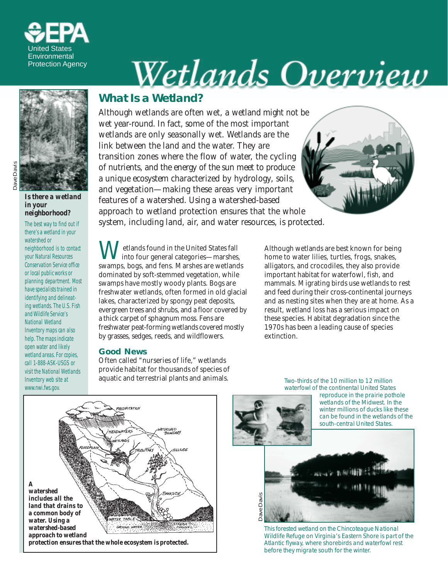

# <u>Wetlands Overview</u>



*Is there a wetland in your neighborhood?*

The best way to find out if there's a wetland in your watershed or neighborhood is to contact your Natural Resources Conservation Service office or local public works or planning department. Most have specialists trained in identifying and delineating wetlands. The U.S. Fish and Wildlife Service's National Wetland Inventory maps can also help. The maps indicate open water and likely wetland areas. For copies, call 1-888-ASK-USGS or visit the National Wetlands Inventory web site at www.nwi.fws.gov.

# **What Is a Wetland?**

*Although wetlands are often wet, a wetland might not be wet year-round. In fact, some of the most important wetlands are only seasonally wet. Wetlands are the link between the land and the water. They are transition zones where the flow of water, the cycling of nutrients, and the energy of the sun meet to produce a unique ecosystem characterized by hydrology, soils, and vegetation—making these areas very important features of a watershed. Using a watershed-based approach to wetland protection ensures that the whole system, including land, air, and water resources, is protected.*

Wetlands found in the United States fall<br>into four general categories—marshes, swamps, bogs, and fens. Marshes are wetlands dominated by soft-stemmed vegetation, while swamps have mostly woody plants. Bogs are freshwater wetlands, often formed in old glacial lakes, characterized by spongy peat deposits, evergreen trees and shrubs, and a floor covered by a thick carpet of sphagnum moss. Fens are freshwater peat-forming wetlands covered mostly by grasses, sedges, reeds, and wildflowers.

#### **Good News**

Often called "nurseries of life," wetlands provide habitat for thousands of species of aquatic and terrestrial plants and animals.

Although wetlands are best known for being home to water lilies, turtles, frogs, snakes, alligators, and crocodiles, they also provide important habitat for waterfowl, fish, and mammals. Migrating birds use wetlands to rest and feed during their cross-continental journeys and as nesting sites when they are at home. As a result, wetland loss has a serious impact on these species. Habitat degradation since the 1970s has been a leading cause of species extinction.



Two-thirds of the 10 million to 12 million waterfowl of the continental United States



This forested wetland on the Chincoteague National Wildlife Refuge on Virginia's Eastern Shore is part of the Atlantic flyway, where shorebirds and waterfowl rest before they migrate south for the winter.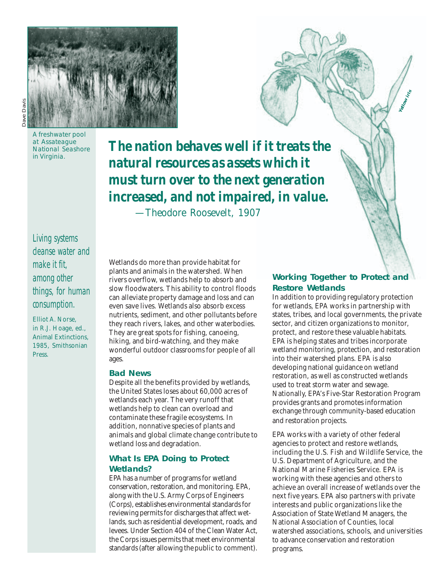

A freshwater pool at Assateague National Seashore in Virginia.

*The nation behaves well if it treats the natural resources as assets which it must turn over to the next generation increased, and not impaired, in value.*

*—Theodore Roosevelt, 1907*

Living systems cleanse water and make it fit, among other things, for human consumption.

Elliot A. Norse, in R.J. Hoage, ed., *Animal Extinctions,* 1985, Smithsonian Press.

Wetlands do more than provide habitat for plants and animals in the watershed. When rivers overflow, wetlands help to absorb and slow floodwaters. This ability to control floods can alleviate property damage and loss and can even save lives. Wetlands also absorb excess nutrients, sediment, and other pollutants before they reach rivers, lakes, and other waterbodies. They are great spots for fishing, canoeing, hiking, and bird-watching, and they make wonderful outdoor classrooms for people of all ages.

#### **Bad News**

Despite all the benefits provided by wetlands, the United States loses about 60,000 acres of wetlands each year. The very runoff that wetlands help to clean can overload and contaminate these fragile ecosystems. In addition, nonnative species of plants and animals and global climate change contribute to wetland loss and degradation.

#### **What Is EPA Doing to Protect Wetlands?**

EPA has a number of programs for wetland conservation, restoration, and monitoring. EPA, along with the U.S. Army Corps of Engineers (Corps), establishes environmental standards for reviewing permits for discharges that affect wetlands, such as residential development, roads, and levees. Under Section 404 of the Clean Water Act, the Corps issues permits that meet environmental standards (after allowing the public to comment).

#### **Working Together to Protect and Restore Wetlands**

*Yellow iris*

In addition to providing regulatory protection for wetlands, EPA works in partnership with states, tribes, and local governments, the private sector, and citizen organizations to monitor, protect, and restore these valuable habitats. EPA is helping states and tribes incorporate wetland monitoring, protection, and restoration into their watershed plans. EPA is also developing national guidance on wetland restoration, as well as constructed wetlands used to treat storm water and sewage. Nationally, EPA's Five-Star Restoration Program provides grants and promotes information exchange through community-based education and restoration projects.

EPA works with a variety of other federal agencies to protect and restore wetlands, including the U.S. Fish and Wildlife Service, the U.S. Department of Agriculture, and the National Marine Fisheries Service. EPA is working with these agencies and others to achieve an overall increase of wetlands over the next five years. EPA also partners with private interests and public organizations like the Association of State Wetland Managers, the National Association of Counties, local watershed associations, schools, and universities to advance conservation and restoration programs.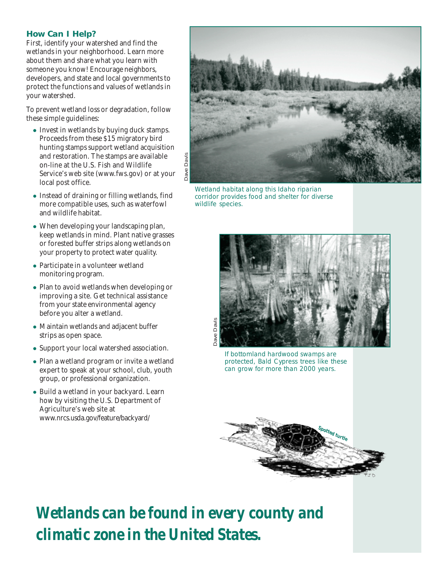#### **How Can I Help?**

First, identify your watershed and find the wetlands in your neighborhood. Learn more about them and share what you learn with someone you know! Encourage neighbors, developers, and state and local governments to protect the functions and values of wetlands in your watershed.

To prevent wetland loss or degradation, follow these simple guidelines:

- Invest in wetlands by buying duck stamps. Proceeds from these \$15 migratory bird hunting stamps support wetland acquisition and restoration. The stamps are available on-line at the U.S. Fish and Wildlife Service's web site (www.fws.gov) or at your local post office.
- Instead of draining or filling wetlands, find more compatible uses, such as waterfowl and wildlife habitat.
- When developing your landscaping plan, keep wetlands in mind. Plant native grasses or forested buffer strips along wetlands on your property to protect water quality.
- Participate in a volunteer wetland monitoring program.
- Plan to avoid wetlands when developing or improving a site. Get technical assistance from your state environmental agency before you alter a wetland.
- Maintain wetlands and adjacent buffer strips as open space.
- Support your local watershed association.
- Plan a wetland program or invite a wetland expert to speak at your school, club, youth group, or professional organization.
- Build a wetland in your backyard. Learn how by visiting the U.S. Department of Agriculture's web site at www.nrcs.usda.gov/feature/backyard/



Wetland habitat along this Idaho riparian corridor provides food and shelter for diverse wildlife species.



If bottomland hardwood swamps are protected, Bald Cypress trees like these can grow for more than 2000 years.



*Wetlands can be found in every county and climatic zone in the United States.*